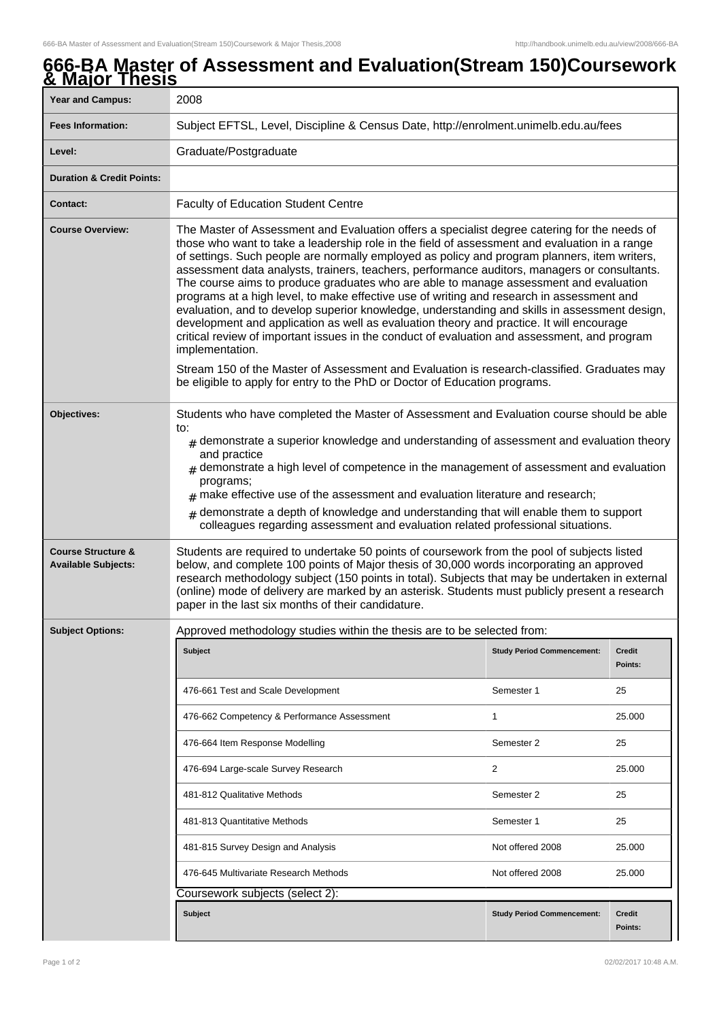## **666-BA Master of Assessment and Evaluation(Stream 150)Coursework & Major Thesis**

| <u>A MAJUL TIRON</u>                                        |                                                                                                                                                                                                                                                                                                                                                                                                                                                                                                                                                                                                                                                                                                                                                                                                                                                                                                     |                                   |                          |  |
|-------------------------------------------------------------|-----------------------------------------------------------------------------------------------------------------------------------------------------------------------------------------------------------------------------------------------------------------------------------------------------------------------------------------------------------------------------------------------------------------------------------------------------------------------------------------------------------------------------------------------------------------------------------------------------------------------------------------------------------------------------------------------------------------------------------------------------------------------------------------------------------------------------------------------------------------------------------------------------|-----------------------------------|--------------------------|--|
| <b>Year and Campus:</b>                                     | 2008                                                                                                                                                                                                                                                                                                                                                                                                                                                                                                                                                                                                                                                                                                                                                                                                                                                                                                |                                   |                          |  |
| <b>Fees Information:</b>                                    | Subject EFTSL, Level, Discipline & Census Date, http://enrolment.unimelb.edu.au/fees                                                                                                                                                                                                                                                                                                                                                                                                                                                                                                                                                                                                                                                                                                                                                                                                                |                                   |                          |  |
| Level:                                                      | Graduate/Postgraduate                                                                                                                                                                                                                                                                                                                                                                                                                                                                                                                                                                                                                                                                                                                                                                                                                                                                               |                                   |                          |  |
| <b>Duration &amp; Credit Points:</b>                        |                                                                                                                                                                                                                                                                                                                                                                                                                                                                                                                                                                                                                                                                                                                                                                                                                                                                                                     |                                   |                          |  |
| <b>Contact:</b>                                             | <b>Faculty of Education Student Centre</b>                                                                                                                                                                                                                                                                                                                                                                                                                                                                                                                                                                                                                                                                                                                                                                                                                                                          |                                   |                          |  |
| <b>Course Overview:</b>                                     | The Master of Assessment and Evaluation offers a specialist degree catering for the needs of<br>those who want to take a leadership role in the field of assessment and evaluation in a range<br>of settings. Such people are normally employed as policy and program planners, item writers,<br>assessment data analysts, trainers, teachers, performance auditors, managers or consultants.<br>The course aims to produce graduates who are able to manage assessment and evaluation<br>programs at a high level, to make effective use of writing and research in assessment and<br>evaluation, and to develop superior knowledge, understanding and skills in assessment design,<br>development and application as well as evaluation theory and practice. It will encourage<br>critical review of important issues in the conduct of evaluation and assessment, and program<br>implementation. |                                   |                          |  |
|                                                             | Stream 150 of the Master of Assessment and Evaluation is research-classified. Graduates may<br>be eligible to apply for entry to the PhD or Doctor of Education programs.                                                                                                                                                                                                                                                                                                                                                                                                                                                                                                                                                                                                                                                                                                                           |                                   |                          |  |
| Objectives:                                                 | Students who have completed the Master of Assessment and Evaluation course should be able<br>to:<br>$#$ demonstrate a superior knowledge and understanding of assessment and evaluation theory<br>and practice<br>$#$ demonstrate a high level of competence in the management of assessment and evaluation<br>programs;<br>$\#$ make effective use of the assessment and evaluation literature and research;<br>demonstrate a depth of knowledge and understanding that will enable them to support<br>#<br>colleagues regarding assessment and evaluation related professional situations.                                                                                                                                                                                                                                                                                                        |                                   |                          |  |
| <b>Course Structure &amp;</b><br><b>Available Subjects:</b> | Students are required to undertake 50 points of coursework from the pool of subjects listed<br>below, and complete 100 points of Major thesis of 30,000 words incorporating an approved<br>research methodology subject (150 points in total). Subjects that may be undertaken in external<br>(online) mode of delivery are marked by an asterisk. Students must publicly present a research<br>paper in the last six months of their candidature.                                                                                                                                                                                                                                                                                                                                                                                                                                                  |                                   |                          |  |
| <b>Subject Options:</b>                                     | Approved methodology studies within the thesis are to be selected from:                                                                                                                                                                                                                                                                                                                                                                                                                                                                                                                                                                                                                                                                                                                                                                                                                             |                                   |                          |  |
|                                                             | Subject                                                                                                                                                                                                                                                                                                                                                                                                                                                                                                                                                                                                                                                                                                                                                                                                                                                                                             | <b>Study Period Commencement:</b> | <b>Credit</b><br>Points: |  |
|                                                             | 476-661 Test and Scale Development                                                                                                                                                                                                                                                                                                                                                                                                                                                                                                                                                                                                                                                                                                                                                                                                                                                                  | Semester 1                        | 25                       |  |
|                                                             | 476-662 Competency & Performance Assessment                                                                                                                                                                                                                                                                                                                                                                                                                                                                                                                                                                                                                                                                                                                                                                                                                                                         | 1                                 | 25.000                   |  |
|                                                             | 476-664 Item Response Modelling                                                                                                                                                                                                                                                                                                                                                                                                                                                                                                                                                                                                                                                                                                                                                                                                                                                                     | Semester 2                        | 25                       |  |
|                                                             | 476-694 Large-scale Survey Research                                                                                                                                                                                                                                                                                                                                                                                                                                                                                                                                                                                                                                                                                                                                                                                                                                                                 | 2                                 | 25.000                   |  |
|                                                             | 481-812 Qualitative Methods                                                                                                                                                                                                                                                                                                                                                                                                                                                                                                                                                                                                                                                                                                                                                                                                                                                                         | Semester 2                        | 25                       |  |
|                                                             | 481-813 Quantitative Methods                                                                                                                                                                                                                                                                                                                                                                                                                                                                                                                                                                                                                                                                                                                                                                                                                                                                        | Semester 1                        | 25                       |  |
|                                                             | 481-815 Survey Design and Analysis                                                                                                                                                                                                                                                                                                                                                                                                                                                                                                                                                                                                                                                                                                                                                                                                                                                                  | Not offered 2008                  | 25.000                   |  |
|                                                             | 476-645 Multivariate Research Methods                                                                                                                                                                                                                                                                                                                                                                                                                                                                                                                                                                                                                                                                                                                                                                                                                                                               | Not offered 2008                  | 25.000                   |  |
|                                                             | Coursework subjects (select 2):                                                                                                                                                                                                                                                                                                                                                                                                                                                                                                                                                                                                                                                                                                                                                                                                                                                                     |                                   |                          |  |
|                                                             | <b>Subject</b>                                                                                                                                                                                                                                                                                                                                                                                                                                                                                                                                                                                                                                                                                                                                                                                                                                                                                      | <b>Study Period Commencement:</b> | <b>Credit</b><br>Points: |  |